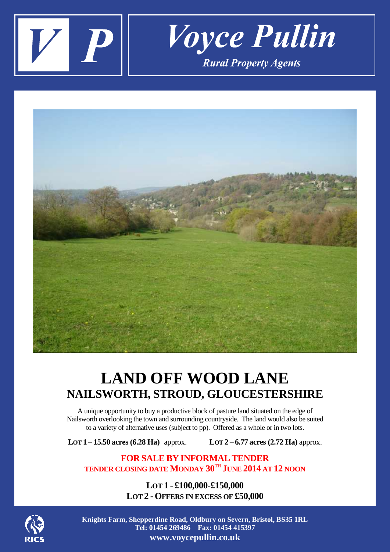



## **LAND OFF WOOD LANE NAILSWORTH, STROUD, GLOUCESTERSHIRE**

A unique opportunity to buy a productive block of pasture land situated on the edge of Nailsworth overlooking the town and surrounding countryside. The land would also be suited to a variety of alternative uses (subject to pp). Offered as a whole or in two lots.

**LOT 1** – **15.50 acres (6.28 <b>Ha)** approx. **LOT 2** – **6.77 acres (2.72 <b>Ha)** approx.

**FOR SALEBY INFORMALTENDER TENDER CLOSING DATE MONDAY 30TH JUNE 2014 AT 12 NOON**

> **LOT 1 - £100,000-£150,000 LOT 2 -OFFERS IN EXCESS OF £50,000**



**Knights Farm, Shepperdine Road, Oldbury on Severn, Bristol, BS35 1RL Tel: 01454 269486 Fax: 01454 415397 www.voycepullin.co.uk**